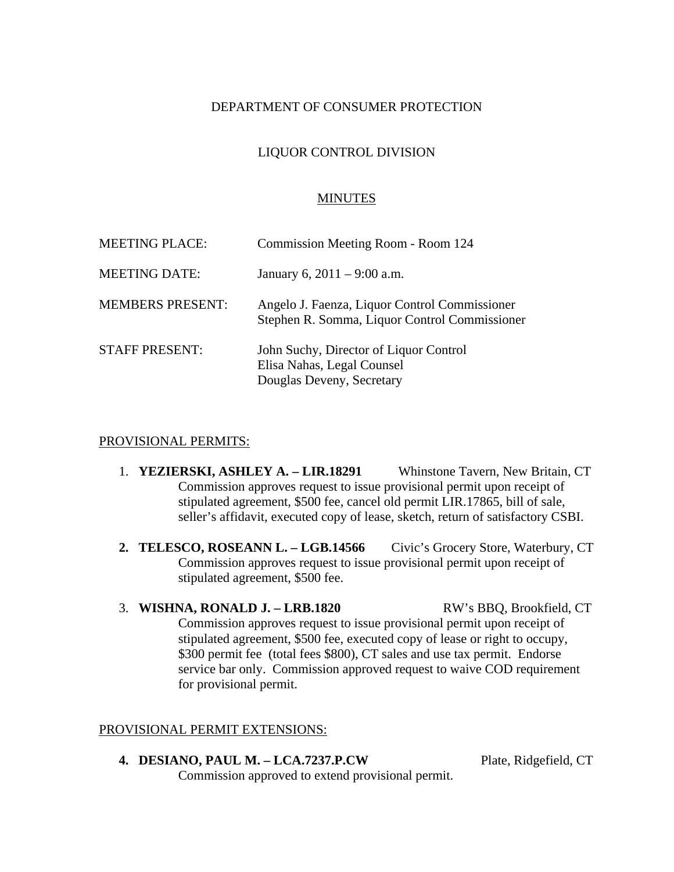## DEPARTMENT OF CONSUMER PROTECTION

# LIQUOR CONTROL DIVISION

### MINUTES

| <b>MEETING PLACE:</b>   | Commission Meeting Room - Room 124                                                                |
|-------------------------|---------------------------------------------------------------------------------------------------|
| <b>MEETING DATE:</b>    | January 6, $2011 - 9:00$ a.m.                                                                     |
| <b>MEMBERS PRESENT:</b> | Angelo J. Faenza, Liquor Control Commissioner<br>Stephen R. Somma, Liquor Control Commissioner    |
| <b>STAFF PRESENT:</b>   | John Suchy, Director of Liquor Control<br>Elisa Nahas, Legal Counsel<br>Douglas Deveny, Secretary |

#### PROVISIONAL PERMITS:

- 1. **YEZIERSKI, ASHLEY A. LIR.18291** Whinstone Tavern, New Britain, CT Commission approves request to issue provisional permit upon receipt of stipulated agreement, \$500 fee, cancel old permit LIR.17865, bill of sale, seller's affidavit, executed copy of lease, sketch, return of satisfactory CSBI.
- **2. TELESCO, ROSEANN L. LGB.14566** Civic's Grocery Store, Waterbury, CT Commission approves request to issue provisional permit upon receipt of stipulated agreement, \$500 fee.
- 3. **WISHNA, RONALD J. LRB.1820** RW's BBQ, Brookfield, CT Commission approves request to issue provisional permit upon receipt of stipulated agreement, \$500 fee, executed copy of lease or right to occupy, \$300 permit fee (total fees \$800), CT sales and use tax permit. Endorse service bar only. Commission approved request to waive COD requirement for provisional permit.

## PROVISIONAL PERMIT EXTENSIONS:

**4. DESIANO, PAUL M. – LCA.7237.P.CW** Plate, Ridgefield, CT Commission approved to extend provisional permit.